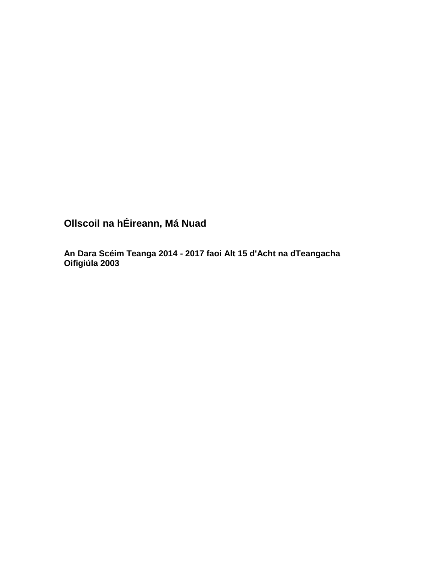# **Ollscoil na hÉireann, Má Nuad**

**An Dara Scéim Teanga 2014 - 2017 faoi Alt 15 d'Acht na dTeangacha Oifigiúla 2003**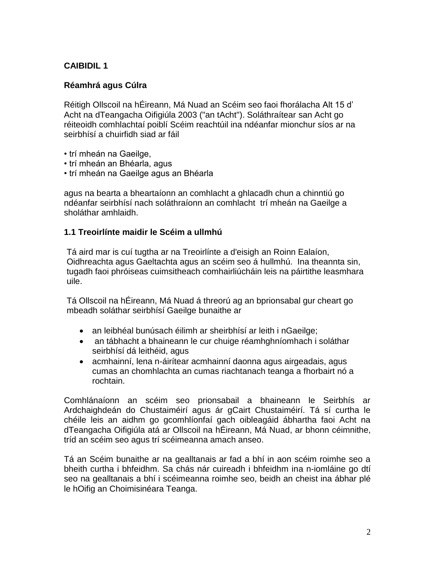## **Réamhrá agus Cúlra**

Réitigh Ollscoil na hÉireann, Má Nuad an Scéim seo faoi fhorálacha Alt 15 d' Acht na dTeangacha Oifigiúla 2003 ("an tAcht"). Soláthraítear san Acht go réiteoidh comhlachtaí poiblí Scéim reachtúil ina ndéanfar mionchur síos ar na seirbhísí a chuirfidh siad ar fáil

- trí mheán na Gaeilge,
- trí mheán an Bhéarla, agus
- trí mheán na Gaeilge agus an Bhéarla

agus na bearta a bheartaíonn an comhlacht a ghlacadh chun a chinntiú go ndéanfar seirbhísí nach soláthraíonn an comhlacht trí mheán na Gaeilge a sholáthar amhlaidh.

#### **1.1 Treoirlínte maidir le Scéim a ullmhú**

Tá aird mar is cuí tugtha ar na Treoirlínte a d'eisigh an Roinn Ealaíon, Oidhreachta agus Gaeltachta agus an scéim seo á hullmhú. Ina theannta sin, tugadh faoi phróiseas cuimsitheach comhairliúcháin leis na páirtithe leasmhara uile.

Tá Ollscoil na hÉireann, Má Nuad á threorú ag an bprionsabal gur cheart go mbeadh soláthar seirbhísí Gaeilge bunaithe ar

- an leibhéal bunúsach éilimh ar sheirbhísí ar leith i nGaeilge;
- an tábhacht a bhaineann le cur chuige réamhghníomhach i soláthar seirbhísí dá leithéid, agus
- acmhainní, lena n-áirítear acmhainní daonna agus airgeadais, agus cumas an chomhlachta an cumas riachtanach teanga a fhorbairt nó a rochtain.

Comhlánaíonn an scéim seo prionsabail a bhaineann le Seirbhís ar Ardchaighdeán do Chustaiméirí agus ár gCairt Chustaiméirí. Tá sí curtha le chéile leis an aidhm go gcomhlíonfaí gach oibleagáid ábhartha faoi Acht na dTeangacha Oifigiúla atá ar Ollscoil na hÉireann, Má Nuad, ar bhonn céimnithe, tríd an scéim seo agus trí scéimeanna amach anseo.

Tá an Scéim bunaithe ar na gealltanais ar fad a bhí in aon scéim roimhe seo a bheith curtha i bhfeidhm. Sa chás nár cuireadh i bhfeidhm ina n-iomláine go dtí seo na gealltanais a bhí i scéimeanna roimhe seo, beidh an cheist ina ábhar plé le hOifig an Choimisinéara Teanga.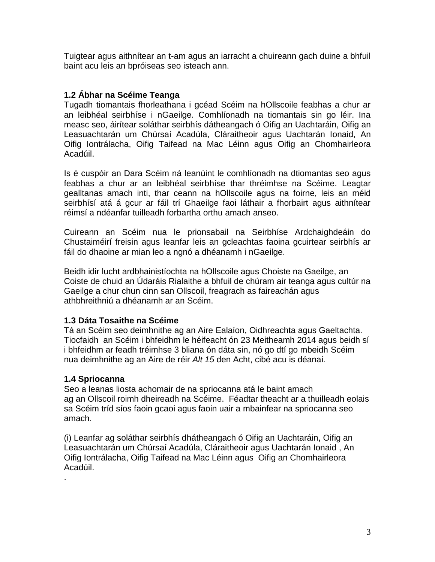Tuigtear agus aithnítear an t-am agus an iarracht a chuireann gach duine a bhfuil baint acu leis an bpróiseas seo isteach ann.

## **1.2 Ábhar na Scéime Teanga**

Tugadh tiomantais fhorleathana i gcéad Scéim na hOllscoile feabhas a chur ar an leibhéal seirbhíse i nGaeilge. Comhlíonadh na tiomantais sin go léir. Ina measc seo, áirítear soláthar seirbhís dátheangach ó Oifig an Uachtaráin, Oifig an Leasuachtarán um Chúrsaí Acadúla, Cláraitheoir agus Uachtarán Ionaid, An Oifig Iontrálacha, Oifig Taifead na Mac Léinn agus Oifig an Chomhairleora Acadúil.

Is é cuspóir an Dara Scéim ná leanúint le comhlíonadh na dtiomantas seo agus feabhas a chur ar an leibhéal seirbhíse thar thréimhse na Scéime. Leagtar gealltanas amach inti, thar ceann na hOllscoile agus na foirne, leis an méid seirbhísí atá á gcur ar fáil trí Ghaeilge faoi láthair a fhorbairt agus aithnítear réimsí a ndéanfar tuilleadh forbartha orthu amach anseo.

Cuireann an Scéim nua le prionsabail na Seirbhíse Ardchaighdeáin do Chustaiméirí freisin agus leanfar leis an gcleachtas faoina gcuirtear seirbhís ar fáil do dhaoine ar mian leo a ngnó a dhéanamh i nGaeilge.

Beidh idir lucht ardbhainistíochta na hOllscoile agus Choiste na Gaeilge, an Coiste de chuid an Údaráis Rialaithe a bhfuil de chúram air teanga agus cultúr na Gaeilge a chur chun cinn san Ollscoil, freagrach as faireachán agus athbhreithniú a dhéanamh ar an Scéim.

#### **1.3 Dáta Tosaithe na Scéime**

Tá an Scéim seo deimhnithe ag an Aire Ealaíon, Oidhreachta agus Gaeltachta. Tiocfaidh an Scéim i bhfeidhm le héifeacht ón 23 Meitheamh 2014 agus beidh sí i bhfeidhm ar feadh tréimhse 3 bliana ón dáta sin, nó go dtí go mbeidh Scéim nua deimhnithe ag an Aire de réir *Alt 15* den Acht, cibé acu is déanaí.

#### **1.4 Spriocanna**

.

Seo a leanas liosta achomair de na spriocanna atá le baint amach ag an Ollscoil roimh dheireadh na Scéime. Féadtar theacht ar a thuilleadh eolais sa Scéim tríd síos faoin gcaoi agus faoin uair a mbainfear na spriocanna seo amach.

(i) Leanfar ag soláthar seirbhís dhátheangach ó Oifig an Uachtaráin, Oifig an Leasuachtarán um Chúrsaí Acadúla, Cláraitheoir agus Uachtarán Ionaid , An Oifig Iontrálacha, Oifig Taifead na Mac Léinn agus Oifig an Chomhairleora Acadúil.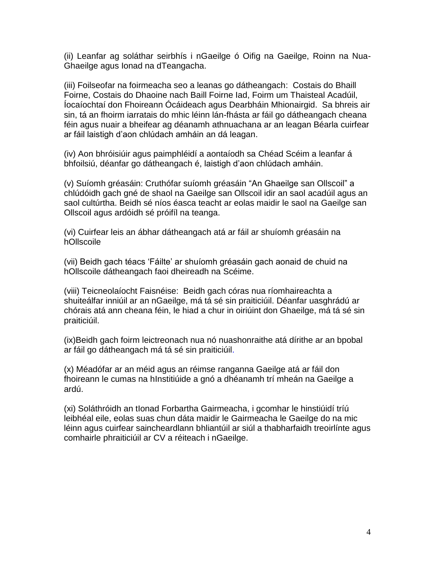(ii) Leanfar ag soláthar seirbhís i nGaeilge ó Oifig na Gaeilge, Roinn na Nua-Ghaeilge agus Ionad na dTeangacha.

(iii) Foilseofar na foirmeacha seo a leanas go dátheangach: Costais do Bhaill Foirne, Costais do Dhaoine nach Baill Foirne Iad, Foirm um Thaisteal Acadúil, Íocaíochtaí don Fhoireann Ócáideach agus Dearbháin Mhionairgid. Sa bhreis air sin, tá an fhoirm iarratais do mhic léinn lán-fhásta ar fáil go dátheangach cheana féin agus nuair a bheifear ag déanamh athnuachana ar an leagan Béarla cuirfear ar fáil laistigh d'aon chlúdach amháin an dá leagan.

(iv) Aon bhróisiúir agus paimphléidí a aontaíodh sa Chéad Scéim a leanfar á bhfoilsiú, déanfar go dátheangach é, laistigh d'aon chlúdach amháin.

(v) Suíomh gréasáin: Cruthófar suíomh gréasáin "An Ghaeilge san Ollscoil" a chlúdóidh gach gné de shaol na Gaeilge san Ollscoil idir an saol acadúil agus an saol cultúrtha. Beidh sé níos éasca teacht ar eolas maidir le saol na Gaeilge san Ollscoil agus ardóidh sé próifíl na teanga.

(vi) Cuirfear leis an ábhar dátheangach atá ar fáil ar shuíomh gréasáin na hOllscoile

(vii) Beidh gach téacs 'Fáilte' ar shuíomh gréasáin gach aonaid de chuid na hOllscoile dátheangach faoi dheireadh na Scéime.

(viii) Teicneolaíocht Faisnéise: Beidh gach córas nua ríomhaireachta a shuiteálfar inniúil ar an nGaeilge, má tá sé sin praiticiúil. Déanfar uasghrádú ar chórais atá ann cheana féin, le hiad a chur in oiriúint don Ghaeilge, má tá sé sin praiticiúil.

(ix)Beidh gach foirm leictreonach nua nó nuashonraithe atá dírithe ar an bpobal ar fáil go dátheangach má tá sé sin praiticiúil.

(x) Méadófar ar an méid agus an réimse ranganna Gaeilge atá ar fáil don fhoireann le cumas na hInstitiúide a gnó a dhéanamh trí mheán na Gaeilge a ardú.

(xi) Soláthróidh an tIonad Forbartha Gairmeacha, i gcomhar le hinstiúidí tríú leibhéal eile, eolas suas chun dáta maidir le Gairmeacha le Gaeilge do na mic léinn agus cuirfear saincheardlann bhliantúil ar siúl a thabharfaidh treoirlínte agus comhairle phraiticiúil ar CV a réiteach i nGaeilge.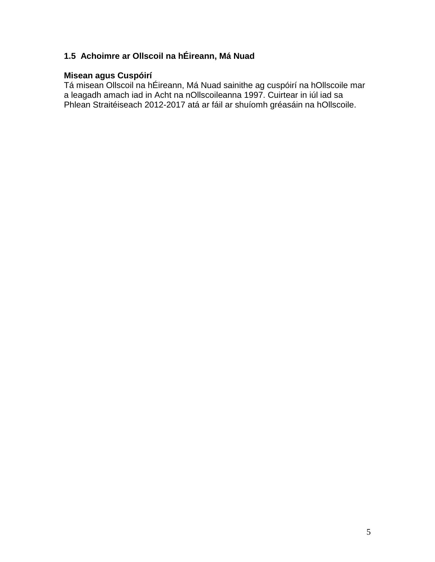# **1.5 Achoimre ar Ollscoil na hÉireann, Má Nuad**

# **Misean agus Cuspóirí**

Tá misean Ollscoil na hÉireann, Má Nuad sainithe ag cuspóirí na hOllscoile mar a leagadh amach iad in Acht na nOllscoileanna 1997. Cuirtear in iúl iad sa Phlean Straitéiseach 2012-2017 atá ar fáil ar shuíomh gréasáin na hOllscoile.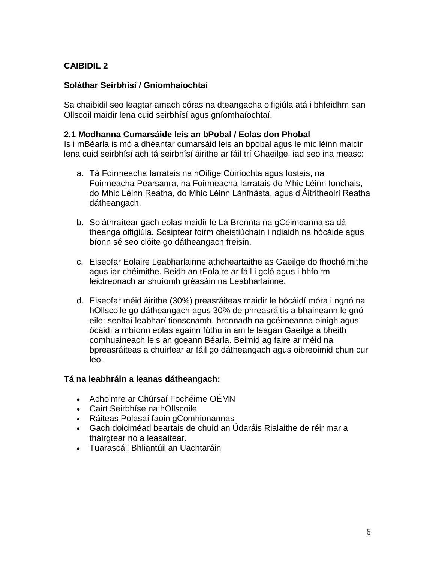### **Soláthar Seirbhísí / Gníomhaíochtaí**

Sa chaibidil seo leagtar amach córas na dteangacha oifigiúla atá i bhfeidhm san Ollscoil maidir lena cuid seirbhísí agus gníomhaíochtaí.

#### **2.1 Modhanna Cumarsáide leis an bPobal / Eolas don Phobal**

Is i mBéarla is mó a dhéantar cumarsáid leis an bpobal agus le mic léinn maidir lena cuid seirbhísí ach tá seirbhísí áirithe ar fáil trí Ghaeilge, iad seo ina measc:

- a. Tá Foirmeacha Iarratais na hOifige Cóiríochta agus Iostais, na Foirmeacha Pearsanra, na Foirmeacha Iarratais do Mhic Léinn Ionchais, do Mhic Léinn Reatha, do Mhic Léinn Lánfhásta, agus d'Áitritheoirí Reatha dátheangach.
- b. Soláthraítear gach eolas maidir le Lá Bronnta na gCéimeanna sa dá theanga oifigiúla. Scaiptear foirm cheistiúcháin i ndiaidh na hócáide agus bíonn sé seo clóite go dátheangach freisin.
- c. Eiseofar Eolaire Leabharlainne athcheartaithe as Gaeilge do fhochéimithe agus iar-chéimithe. Beidh an tEolaire ar fáil i gcló agus i bhfoirm leictreonach ar shuíomh gréasáin na Leabharlainne.
- d. Eiseofar méid áirithe (30%) preasráiteas maidir le hócáidí móra i ngnó na hOllscoile go dátheangach agus 30% de phreasráitis a bhaineann le gnó eile: seoltaí leabhar/ tionscnamh, bronnadh na gcéimeanna oinigh agus ócáidí a mbíonn eolas againn fúthu in am le leagan Gaeilge a bheith comhuaineach leis an gceann Béarla. Beimid ag faire ar méid na bpreasráiteas a chuirfear ar fáil go dátheangach agus oibreoimid chun cur leo.

#### **Tá na leabhráin a leanas dátheangach:**

- Achoimre ar Chúrsaí Fochéime OÉMN
- Cairt Seirbhíse na hOllscoile
- Ráiteas Polasaí faoin gComhionannas
- Gach doiciméad beartais de chuid an Údaráis Rialaithe de réir mar a tháirgtear nó a leasaítear.
- Tuarascáil Bhliantúil an Uachtaráin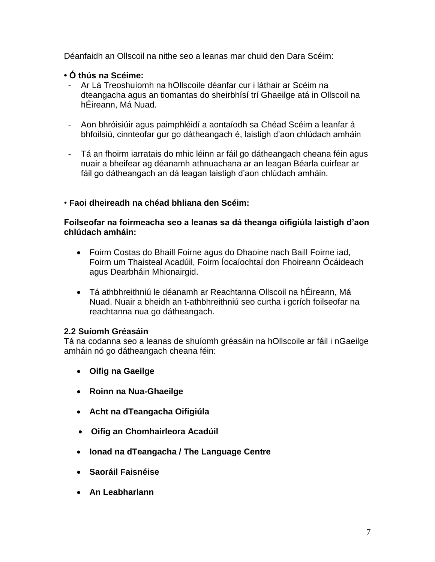Déanfaidh an Ollscoil na nithe seo a leanas mar chuid den Dara Scéim:

# **• Ó thús na Scéime:**

- Ar Lá Treoshuíomh na hOllscoile déanfar cur i láthair ar Scéim na dteangacha agus an tiomantas do sheirbhísí trí Ghaeilge atá in Ollscoil na hÉireann, Má Nuad.
- Aon bhróisiúir agus paimphléidí a aontaíodh sa Chéad Scéim a leanfar á bhfoilsiú, cinnteofar gur go dátheangach é, laistigh d'aon chlúdach amháin
- Tá an fhoirm iarratais do mhic léinn ar fáil go dátheangach cheana féin agus nuair a bheifear ag déanamh athnuachana ar an leagan Béarla cuirfear ar fáil go dátheangach an dá leagan laistigh d'aon chlúdach amháin.

# • **Faoi dheireadh na chéad bhliana den Scéim:**

#### **Foilseofar na foirmeacha seo a leanas sa dá theanga oifigiúla laistigh d'aon chlúdach amháin:**

- Foirm Costas do Bhaill Foirne agus do Dhaoine nach Baill Foirne iad, Foirm um Thaisteal Acadúil, Foirm Íocaíochtaí don Fhoireann Ócáideach agus Dearbháin Mhionairgid.
- Tá athbhreithniú le déanamh ar Reachtanna Ollscoil na hÉireann, Má Nuad. Nuair a bheidh an t-athbhreithniú seo curtha i gcrích foilseofar na reachtanna nua go dátheangach.

# **2.2 Suíomh Gréasáin**

Tá na codanna seo a leanas de shuíomh gréasáin na hOllscoile ar fáil i nGaeilge amháin nó go dátheangach cheana féin:

- **Oifig na Gaeilge**
- **Roinn na Nua-Ghaeilge**
- **Acht na dTeangacha Oifigiúla**
- **Oifig an Chomhairleora Acadúil**
- **Ionad na dTeangacha / The Language Centre**
- **Saoráil Faisnéise**
- **An Leabharlann**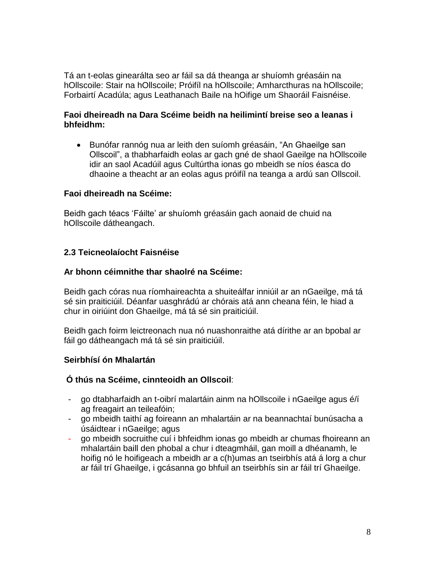Tá an t-eolas ginearálta seo ar fáil sa dá theanga ar shuíomh gréasáin na hOllscoile: Stair na hOllscoile; Próifíl na hOllscoile; Amharcthuras na hOllscoile; Forbairtí Acadúla; agus Leathanach Baile na hOifige um Shaoráil Faisnéise.

### **Faoi dheireadh na Dara Scéime beidh na heilimintí breise seo a leanas i bhfeidhm:**

 Bunófar rannóg nua ar leith den suíomh gréasáin, "An Ghaeilge san Ollscoil", a thabharfaidh eolas ar gach gné de shaol Gaeilge na hOllscoile idir an saol Acadúil agus Cultúrtha ionas go mbeidh se níos éasca do dhaoine a theacht ar an eolas agus próifíl na teanga a ardú san Ollscoil.

#### **Faoi dheireadh na Scéime:**

Beidh gach téacs 'Fáilte' ar shuíomh gréasáin gach aonaid de chuid na hOllscoile dátheangach.

### **2.3 Teicneolaíocht Faisnéise**

### **Ar bhonn céimnithe thar shaolré na Scéime:**

Beidh gach córas nua ríomhaireachta a shuiteálfar inniúil ar an nGaeilge, má tá sé sin praiticiúil. Déanfar uasghrádú ar chórais atá ann cheana féin, le hiad a chur in oiriúint don Ghaeilge, má tá sé sin praiticiúil.

Beidh gach foirm leictreonach nua nó nuashonraithe atá dírithe ar an bpobal ar fáil go dátheangach má tá sé sin praiticiúil.

# **Seirbhísí ón Mhalartán**

#### **Ó thús na Scéime, cinnteoidh an Ollscoil**:

- go dtabharfaidh an t-oibrí malartáin ainm na hOllscoile i nGaeilge agus é/í ag freagairt an teileafóin;
- go mbeidh taithí ag foireann an mhalartáin ar na beannachtaí bunúsacha a úsáidtear i nGaeilge; agus
- go mbeidh socruithe cuí i bhfeidhm ionas go mbeidh ar chumas fhoireann an mhalartáin baill den phobal a chur i dteagmháil, gan moill a dhéanamh, le hoifig nó le hoifigeach a mbeidh ar a c(h)umas an tseirbhís atá á lorg a chur ar fáil trí Ghaeilge, i gcásanna go bhfuil an tseirbhís sin ar fáil trí Ghaeilge.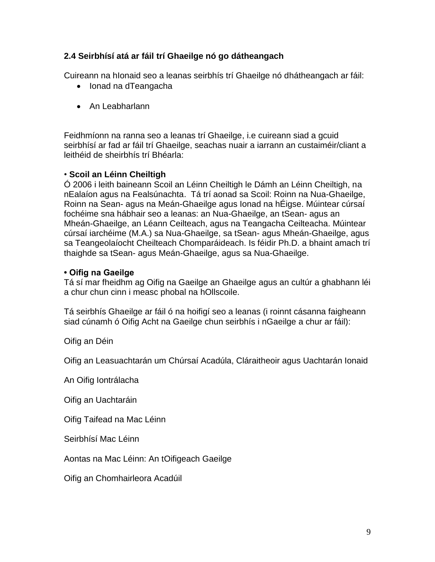# **2.4 Seirbhísí atá ar fáil trí Ghaeilge nó go dátheangach**

Cuireann na hIonaid seo a leanas seirbhís trí Ghaeilge nó dhátheangach ar fáil:

- Ionad na dTeangacha
- An Leabharlann

Feidhmíonn na ranna seo a leanas trí Ghaeilge, i.e cuireann siad a gcuid seirbhísí ar fad ar fáil trí Ghaeilge, seachas nuair a iarrann an custaiméir/cliant a leithéid de sheirbhís trí Bhéarla:

### • **Scoil an Léinn Cheiltigh**

Ó 2006 i leith baineann Scoil an Léinn Cheiltigh le Dámh an Léinn Cheiltigh, na nEalaíon agus na Fealsúnachta. Tá trí aonad sa Scoil: Roinn na Nua-Ghaeilge, Roinn na Sean- agus na Meán-Ghaeilge agus Ionad na hÉigse. Múintear cúrsaí fochéime sna hábhair seo a leanas: an Nua-Ghaeilge, an tSean- agus an Mheán-Ghaeilge, an Léann Ceilteach, agus na Teangacha Ceilteacha. Múintear cúrsaí iarchéime (M.A.) sa Nua-Ghaeilge, sa tSean- agus Mheán-Ghaeilge, agus sa Teangeolaíocht Cheilteach Chomparáideach. Is féidir Ph.D. a bhaint amach trí thaighde sa tSean- agus Meán-Ghaeilge, agus sa Nua-Ghaeilge.

### **• Oifig na Gaeilge**

Tá sí mar fheidhm ag Oifig na Gaeilge an Ghaeilge agus an cultúr a ghabhann léi a chur chun cinn i measc phobal na hOllscoile.

Tá seirbhís Ghaeilge ar fáil ó na hoifigí seo a leanas (i roinnt cásanna faigheann siad cúnamh ó Oifig Acht na Gaeilge chun seirbhís i nGaeilge a chur ar fáil):

Oifig an Déin

Oifig an Leasuachtarán um Chúrsaí Acadúla, Cláraitheoir agus Uachtarán Ionaid

An Oifig Iontrálacha

Oifig an Uachtaráin

Oifig Taifead na Mac Léinn

Seirbhísí Mac Léinn

Aontas na Mac Léinn: An tOifigeach Gaeilge

Oifig an Chomhairleora Acadúil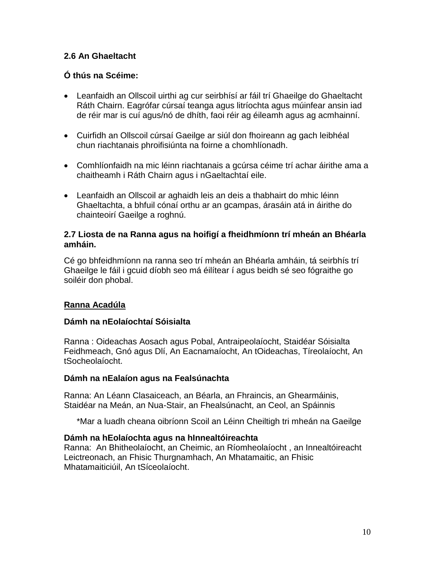# **2.6 An Ghaeltacht**

# **Ó thús na Scéime:**

- Leanfaidh an Ollscoil uirthi ag cur seirbhísí ar fáil trí Ghaeilge do Ghaeltacht Ráth Chairn. Eagrófar cúrsaí teanga agus litríochta agus múinfear ansin iad de réir mar is cuí agus/nó de dhíth, faoi réir ag éileamh agus ag acmhainní.
- Cuirfidh an Ollscoil cúrsaí Gaeilge ar siúl don fhoireann ag gach leibhéal chun riachtanais phroifisiúnta na foirne a chomhlíonadh.
- Comhlíonfaidh na mic léinn riachtanais a gcúrsa céime trí achar áirithe ama a chaitheamh i Ráth Chairn agus i nGaeltachtaí eile.
- Leanfaidh an Ollscoil ar aghaidh leis an deis a thabhairt do mhic léinn Ghaeltachta, a bhfuil cónaí orthu ar an gcampas, árasáin atá in áirithe do chainteoirí Gaeilge a roghnú.

#### **2.7 Liosta de na Ranna agus na hoifigí a fheidhmíonn trí mheán an Bhéarla amháin.**

Cé go bhfeidhmíonn na ranna seo trí mheán an Bhéarla amháin, tá seirbhís trí Ghaeilge le fáil i gcuid díobh seo má éilítear í agus beidh sé seo fógraithe go soiléir don phobal.

# **Ranna Acadúla**

# **Dámh na nEolaíochtaí Sóisialta**

Ranna : Oideachas Aosach agus Pobal, Antraipeolaíocht, Staidéar Sóisialta Feidhmeach, Gnó agus Dlí, An Eacnamaíocht, An tOideachas, Tíreolaíocht, An tSocheolaíocht.

#### **Dámh na nEalaíon agus na Fealsúnachta**

Ranna: An Léann Clasaiceach, an Béarla, an Fhraincis, an Ghearmáinis, Staidéar na Meán, an Nua-Stair, an Fhealsúnacht, an Ceol, an Spáinnis

\*Mar a luadh cheana oibríonn Scoil an Léinn Cheiltigh tri mheán na Gaeilge

# **Dámh na hEolaíochta agus na hInnealtóireachta**

Ranna: An Bhitheolaíocht, an Cheimic, an Ríomheolaíocht , an Innealtóireacht Leictreonach, an Fhisic Thurgnamhach, An Mhatamaitic, an Fhisic Mhatamaiticiúil, An tSíceolaíocht.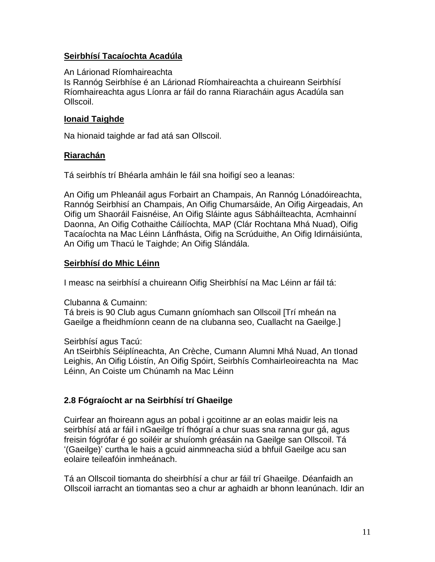# **Seirbhísí Tacaíochta Acadúla**

#### An Lárionad Ríomhaireachta

Is Rannóg Seirbhíse é an Lárionad Ríomhaireachta a chuireann Seirbhísí Ríomhaireachta agus Líonra ar fáil do ranna Riaracháin agus Acadúla san Ollscoil.

#### **Ionaid Taighde**

Na hionaid taighde ar fad atá san Ollscoil.

#### **Riarachán**

Tá seirbhís trí Bhéarla amháin le fáil sna hoifigí seo a leanas:

An Oifig um Phleanáil agus Forbairt an Champais, An Rannóg Lónadóireachta, Rannóg Seirbhisí an Champais, An Oifig Chumarsáide, An Oifig Airgeadais, An Oifig um Shaoráil Faisnéise, An Oifig Sláinte agus Sábháilteachta, Acmhainní Daonna, An Oifig Cothaithe Cáilíochta, MAP (Clár Rochtana Mhá Nuad), Oifig Tacaíochta na Mac Léinn Lánfhásta, Oifig na Scrúduithe, An Oifig Idirnáisiúnta, An Oifig um Thacú le Taighde; An Oifig Slándála.

### **Seirbhísí do Mhic Léinn**

I measc na seirbhísí a chuireann Oifig Sheirbhísí na Mac Léinn ar fáil tá:

Clubanna & Cumainn:

Tá breis is 90 Club agus Cumann gníomhach san Ollscoil [Trí mheán na Gaeilge a fheidhmíonn ceann de na clubanna seo, Cuallacht na Gaeilge.]

Seirbhísí agus Tacú:

An tSeirbhís Séiplíneachta, An Crèche, Cumann Alumni Mhá Nuad, An tIonad Leighis, An Oifig Lóistín, An Oifig Spóirt, Seirbhís Comhairleoireachta na Mac Léinn, An Coiste um Chúnamh na Mac Léinn

# **2.8 Fógraíocht ar na Seirbhísí trí Ghaeilge**

Cuirfear an fhoireann agus an pobal i gcoitinne ar an eolas maidir leis na seirbhísí atá ar fáil i nGaeilge trí fhógraí a chur suas sna ranna gur gá, agus freisin fógrófar é go soiléir ar shuíomh gréasáin na Gaeilge san Ollscoil. Tá '(Gaeilge)' curtha le hais a gcuid ainmneacha siúd a bhfuil Gaeilge acu san eolaire teileafóin inmheánach.

Tá an Ollscoil tiomanta do sheirbhísí a chur ar fáil trí Ghaeilge. Déanfaidh an Ollscoil iarracht an tiomantas seo a chur ar aghaidh ar bhonn leanúnach. Idir an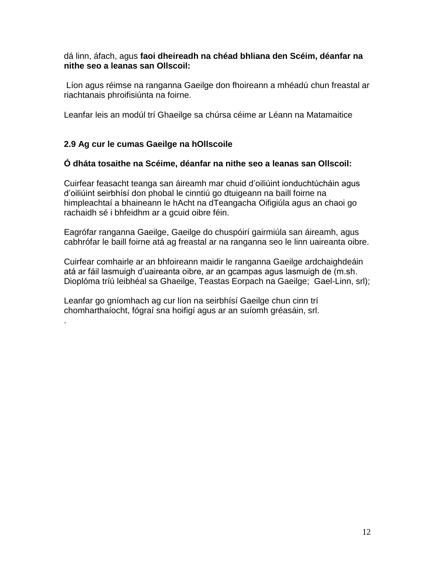#### dá linn, áfach, agus **faoi dheireadh na chéad bhliana den Scéim, déanfar na nithe seo a leanas san Ollscoil:**

Líon agus réimse na ranganna Gaeilge don fhoireann a mhéadú chun freastal ar riachtanais phroifisiúnta na foirne.

Leanfar leis an modúl trí Ghaeilge sa chúrsa céime ar Léann na Matamaitice

# **2.9 Ag cur le cumas Gaeilge na hOllscoile**

.

# **Ó dháta tosaithe na Scéime, déanfar na nithe seo a leanas san Ollscoil:**

Cuirfear feasacht teanga san áireamh mar chuid d'oiliúint ionduchtúcháin agus d'oiliúint seirbhísí don phobal le cinntiú go dtuigeann na baill foirne na himpleachtaí a bhaineann le hAcht na dTeangacha Oifigiúla agus an chaoi go rachaidh sé i bhfeidhm ar a gcuid oibre féin.

Eagrófar ranganna Gaeilge, Gaeilge do chuspóirí gairmiúla san áireamh, agus cabhrófar le baill foirne atá ag freastal ar na ranganna seo le linn uaireanta oibre.

Cuirfear comhairle ar an bhfoireann maidir le ranganna Gaeilge ardchaighdeáin atá ar fáil lasmuigh d'uaireanta oibre, ar an gcampas agus lasmuigh de (m.sh. Dioplóma tríú leibhéal sa Ghaeilge, Teastas Eorpach na Gaeilge; Gael-Linn, srl);

Leanfar go gníomhach ag cur líon na seirbhísí Gaeilge chun cinn trí chomharthaíocht, fógraí sna hoifigí agus ar an suíomh gréasáin, srl.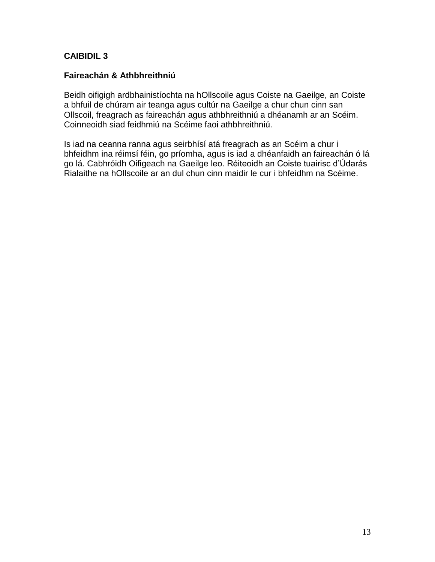### **Faireachán & Athbhreithniú**

Beidh oifigigh ardbhainistíochta na hOllscoile agus Coiste na Gaeilge, an Coiste a bhfuil de chúram air teanga agus cultúr na Gaeilge a chur chun cinn san Ollscoil, freagrach as faireachán agus athbhreithniú a dhéanamh ar an Scéim. Coinneoidh siad feidhmiú na Scéime faoi athbhreithniú.

Is iad na ceanna ranna agus seirbhísí atá freagrach as an Scéim a chur i bhfeidhm ina réimsí féin, go príomha, agus is iad a dhéanfaidh an faireachán ó lá go lá. Cabhróidh Oifigeach na Gaeilge leo. Réiteoidh an Coiste tuairisc d'Údarás Rialaithe na hOllscoile ar an dul chun cinn maidir le cur i bhfeidhm na Scéime.